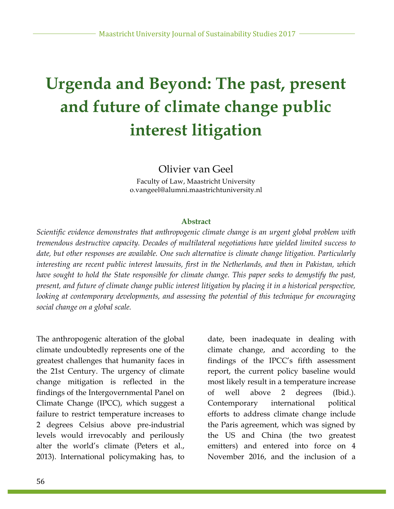# **Urgenda and Beyond: The past, present and future of climate change public interest litigation**

Olivier van Geel

Faculty of Law, Maastricht University o.vangeel@alumni.maastrichtuniversity.nl

### **Abstract**

*Scientific evidence demonstrates that anthropogenic climate change is an urgent global problem with tremendous destructive capacity. Decades of multilateral negotiations have yielded limited success to date, but other responses are available. One such alternative is climate change litigation. Particularly interesting are recent public interest lawsuits, first in the Netherlands, and then in Pakistan, which have sought to hold the State responsible for climate change. This paper seeks to demystify the past, present, and future of climate change public interest litigation by placing it in a historical perspective, looking at contemporary developments, and assessing the potential of this technique for encouraging social change on a global scale.* 

The anthropogenic alteration of the global climate undoubtedly represents one of the greatest challenges that humanity faces in the 21st Century. The urgency of climate change mitigation is reflected in the findings of the Intergovernmental Panel on Climate Change (IPCC), which suggest a failure to restrict temperature increases to 2 degrees Celsius above pre-industrial levels would irrevocably and perilously alter the world's climate (Peters et al., 2013). International policymaking has, to date, been inadequate in dealing with climate change, and according to the findings of the IPCC's fifth assessment report, the current policy baseline would most likely result in a temperature increase of well above 2 degrees (Ibid.). Contemporary international political efforts to address climate change include the Paris agreement, which was signed by the US and China (the two greatest emitters) and entered into force on 4 November 2016, and the inclusion of a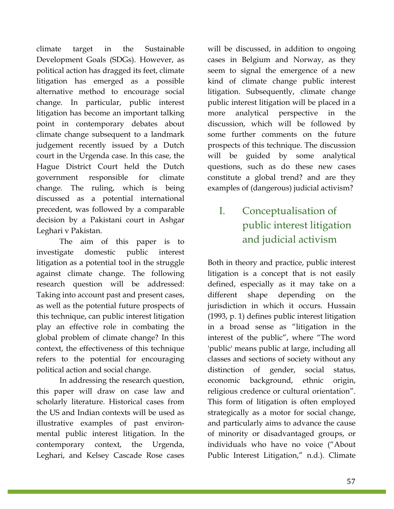climate target in the Sustainable Development Goals (SDGs). However, as political action has dragged its feet, climate litigation has emerged as a possible alternative method to encourage social change. In particular, public interest litigation has become an important talking point in contemporary debates about climate change subsequent to a landmark judgement recently issued by a Dutch court in the Urgenda case. In this case, the Hague District Court held the Dutch government responsible for climate change. The ruling, which is being discussed as a potential international precedent, was followed by a comparable decision by a Pakistani court in Ashgar Leghari v Pakistan.

The aim of this paper is to investigate domestic public interest litigation as a potential tool in the struggle against climate change. The following research question will be addressed: Taking into account past and present cases, as well as the potential future prospects of this technique, can public interest litigation play an effective role in combating the global problem of climate change? In this context, the effectiveness of this technique refers to the potential for encouraging political action and social change.

In addressing the research question, this paper will draw on case law and scholarly literature. Historical cases from the US and Indian contexts will be used as illustrative examples of past environmental public interest litigation. In the contemporary context, the Urgenda, Leghari, and Kelsey Cascade Rose cases

will be discussed, in addition to ongoing cases in Belgium and Norway, as they seem to signal the emergence of a new kind of climate change public interest litigation. Subsequently, climate change public interest litigation will be placed in a more analytical perspective in the discussion, which will be followed by some further comments on the future prospects of this technique. The discussion will be guided by some analytical questions, such as do these new cases constitute a global trend? and are they examples of (dangerous) judicial activism?

# I. Conceptualisation of public interest litigation and judicial activism

Both in theory and practice, public interest litigation is a concept that is not easily defined, especially as it may take on a different shape depending on the jurisdiction in which it occurs. Hussain (1993, p. 1) defines public interest litigation in a broad sense as "litigation in the interest of the public", where "The word 'public' means public at large, including all classes and sections of society without any distinction of gender, social status, economic background, ethnic origin, religious credence or cultural orientation". This form of litigation is often employed strategically as a motor for social change, and particularly aims to advance the cause of minority or disadvantaged groups, or individuals who have no voice ("About Public Interest Litigation," n.d.). Climate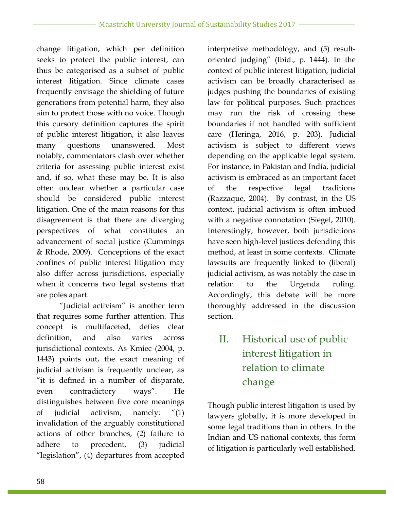change litigation, which per definition seeks to protect the public interest, can thus be categorised as a subset of public interest litigation. Since climate cases frequently envisage the shielding of future generations from potential harm, they also aim to protect those with no voice. Though this cursory definition captures the spirit of public interest litigation, it also leaves many questions unanswered. Most notably, commentators clash over whether criteria for assessing public interest exist and, if so, what these may be. It is also often unclear whether a particular case should be considered public interest litigation. One of the main reasons for this disagreement is that there are diverging perspectives of what constitutes an advancement of social justice (Cummings & Rhode, 2009). Conceptions of the exact confines of public interest litigation may also differ across jurisdictions, especially when it concerns two legal systems that are poles apart.

"Judicial activism" is another term that requires some further attention. This concept is multifaceted, defies clear definition, and also varies across jurisdictional contexts. As Kmiec (2004, p. 1443) points out, the exact meaning of judicial activism is frequently unclear, as "it is defined in a number of disparate, even contradictory ways". He distinguishes between five core meanings of judicial activism, namely: "(1) invalidation of the arguably constitutional actions of other branches, (2) failure to adhere to precedent, (3) judicial "legislation", (4) departures from accepted interpretive methodology, and (5) resultoriented judging" (Ibid., p. 1444). In the context of public interest litigation, judicial activism can be broadly characterised as judges pushing the boundaries of existing law for political purposes. Such practices may run the risk of crossing these boundaries if not handled with sufficient care (Heringa, 2016, p. 203). Judicial activism is subject to different views depending on the applicable legal system. For instance, in Pakistan and India, judicial activism is embraced as an important facet of the respective legal traditions (Razzaque, 2004). By contrast, in the US context, judicial activism is often imbued with a negative connotation (Siegel, 2010). Interestingly, however, both jurisdictions have seen high-level justices defending this method, at least in some contexts. Climate lawsuits are frequently linked to (liberal) judicial activism, as was notably the case in relation to the Urgenda ruling. Accordingly, this debate will be more thoroughly addressed in the discussion section.

# II. Historical use of public interest litigation in relation to climate change

Though public interest litigation is used by lawyers globally, it is more developed in some legal traditions than in others. In the Indian and US national contexts, this form of litigation is particularly well established.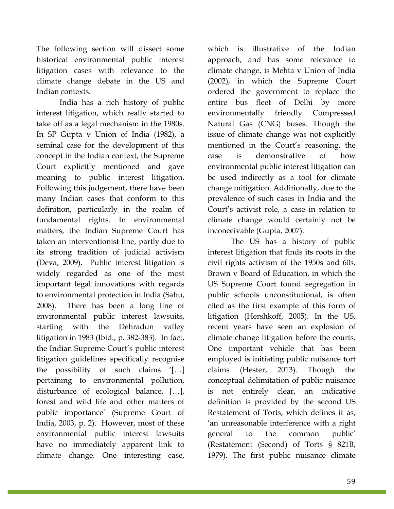The following section will dissect some historical environmental public interest litigation cases with relevance to the climate change debate in the US and Indian contexts.

India has a rich history of public interest litigation, which really started to take off as a legal mechanism in the 1980s. In SP Gupta v Union of India (1982), a seminal case for the development of this concept in the Indian context, the Supreme Court explicitly mentioned and gave meaning to public interest litigation. Following this judgement, there have been many Indian cases that conform to this definition, particularly in the realm of fundamental rights. In environmental matters, the Indian Supreme Court has taken an interventionist line, partly due to its strong tradition of judicial activism (Deva, 2009). Public interest litigation is widely regarded as one of the most important legal innovations with regards to environmental protection in India (Sahu, 2008). There has been a long line of environmental public interest lawsuits, starting with the Dehradun valley litigation in 1983 (Ibid., p. 382-383). In fact, the Indian Supreme Court's public interest litigation guidelines specifically recognise the possibility of such claims '[…] pertaining to environmental pollution, disturbance of ecological balance, […], forest and wild life and other matters of public importance' (Supreme Court of India, 2003, p. 2). However, most of these environmental public interest lawsuits have no immediately apparent link to climate change. One interesting case,

which is illustrative of the Indian approach, and has some relevance to climate change, is Mehta v Union of India (2002), in which the Supreme Court ordered the government to replace the entire bus fleet of Delhi by more environmentally friendly Compressed Natural Gas (CNG) buses. Though the issue of climate change was not explicitly mentioned in the Court's reasoning, the case is demonstrative of how environmental public interest litigation can be used indirectly as a tool for climate change mitigation. Additionally, due to the prevalence of such cases in India and the Court's activist role, a case in relation to climate change would certainly not be inconceivable (Gupta, 2007).

The US has a history of public interest litigation that finds its roots in the civil rights activism of the 1950s and 60s. Brown v Board of Education, in which the US Supreme Court found segregation in public schools unconstitutional, is often cited as the first example of this form of litigation (Hershkoff, 2005). In the US, recent years have seen an explosion of climate change litigation before the courts. One important vehicle that has been employed is initiating public nuisance tort claims (Hester, 2013). Though the conceptual delimitation of public nuisance is not entirely clear, an indicative definition is provided by the second US Restatement of Torts, which defines it as, 'an unreasonable interference with a right general to the common public' (Restatement (Second) of Torts § 821B, 1979). The first public nuisance climate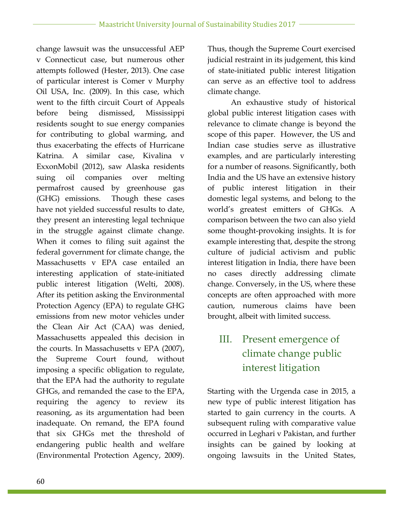change lawsuit was the unsuccessful AEP v Connecticut case, but numerous other attempts followed (Hester, 2013). One case of particular interest is Comer v Murphy Oil USA, Inc. (2009). In this case, which went to the fifth circuit Court of Appeals before being dismissed, Mississippi residents sought to sue energy companies for contributing to global warming, and thus exacerbating the effects of Hurricane Katrina. A similar case, Kivalina v ExxonMobil (2012), saw Alaska residents suing oil companies over melting permafrost caused by greenhouse gas (GHG) emissions. Though these cases have not yielded successful results to date, they present an interesting legal technique in the struggle against climate change. When it comes to filing suit against the federal government for climate change, the Massachusetts v EPA case entailed an interesting application of state-initiated public interest litigation (Welti, 2008). After its petition asking the Environmental Protection Agency (EPA) to regulate GHG emissions from new motor vehicles under the Clean Air Act (CAA) was denied, Massachusetts appealed this decision in the courts. In Massachusetts v EPA (2007), the Supreme Court found, without imposing a specific obligation to regulate, that the EPA had the authority to regulate GHGs, and remanded the case to the EPA, requiring the agency to review its reasoning, as its argumentation had been inadequate. On remand, the EPA found that six GHGs met the threshold of endangering public health and welfare (Environmental Protection Agency, 2009).

Thus, though the Supreme Court exercised judicial restraint in its judgement, this kind of state-initiated public interest litigation can serve as an effective tool to address climate change.

An exhaustive study of historical global public interest litigation cases with relevance to climate change is beyond the scope of this paper. However, the US and Indian case studies serve as illustrative examples, and are particularly interesting for a number of reasons. Significantly, both India and the US have an extensive history of public interest litigation in their domestic legal systems, and belong to the world's greatest emitters of GHGs. A comparison between the two can also yield some thought-provoking insights. It is for example interesting that, despite the strong culture of judicial activism and public interest litigation in India, there have been no cases directly addressing climate change. Conversely, in the US, where these concepts are often approached with more caution, numerous claims have been brought, albeit with limited success.

# III. Present emergence of climate change public interest litigation

Starting with the Urgenda case in 2015, a new type of public interest litigation has started to gain currency in the courts. A subsequent ruling with comparative value occurred in Leghari v Pakistan, and further insights can be gained by looking at ongoing lawsuits in the United States,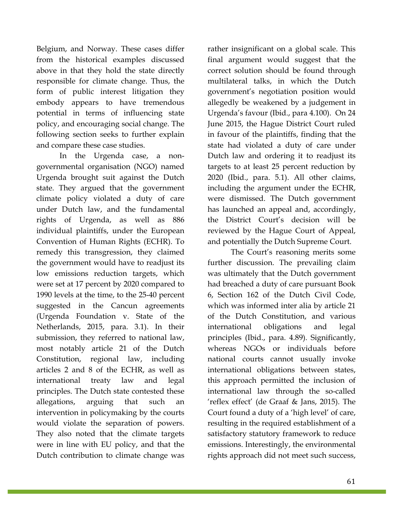Belgium, and Norway. These cases differ from the historical examples discussed above in that they hold the state directly responsible for climate change. Thus, the form of public interest litigation they embody appears to have tremendous potential in terms of influencing state policy, and encouraging social change. The following section seeks to further explain and compare these case studies.

In the Urgenda case, a nongovernmental organisation (NGO) named Urgenda brought suit against the Dutch state. They argued that the government climate policy violated a duty of care under Dutch law, and the fundamental rights of Urgenda, as well as 886 individual plaintiffs, under the European Convention of Human Rights (ECHR). To remedy this transgression, they claimed the government would have to readjust its low emissions reduction targets, which were set at 17 percent by 2020 compared to 1990 levels at the time, to the 25-40 percent suggested in the Cancun agreements (Urgenda Foundation v. State of the Netherlands, 2015, para. 3.1). In their submission, they referred to national law, most notably article 21 of the Dutch Constitution, regional law, including articles 2 and 8 of the ECHR, as well as international treaty law and legal principles. The Dutch state contested these allegations, arguing that such an intervention in policymaking by the courts would violate the separation of powers. They also noted that the climate targets were in line with EU policy, and that the Dutch contribution to climate change was

61

rather insignificant on a global scale. This final argument would suggest that the correct solution should be found through multilateral talks, in which the Dutch government's negotiation position would allegedly be weakened by a judgement in Urgenda's favour (Ibid., para 4.100). On 24 June 2015, the Hague District Court ruled in favour of the plaintiffs, finding that the state had violated a duty of care under Dutch law and ordering it to readjust its targets to at least 25 percent reduction by 2020 (Ibid., para. 5.1). All other claims, including the argument under the ECHR, were dismissed. The Dutch government has launched an appeal and, accordingly, the District Court's decision will be reviewed by the Hague Court of Appeal, and potentially the Dutch Supreme Court.

The Court's reasoning merits some further discussion. The prevailing claim was ultimately that the Dutch government had breached a duty of care pursuant Book 6, Section 162 of the Dutch Civil Code, which was informed inter alia by article 21 of the Dutch Constitution, and various international obligations and legal principles (Ibid., para. 4.89). Significantly, whereas NGOs or individuals before national courts cannot usually invoke international obligations between states, this approach permitted the inclusion of international law through the so-called 'reflex effect' (de Graaf & Jans, 2015). The Court found a duty of a 'high level' of care, resulting in the required establishment of a satisfactory statutory framework to reduce emissions. Interestingly, the environmental rights approach did not meet such success,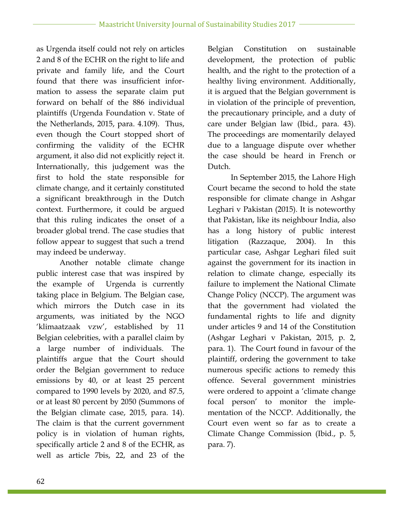as Urgenda itself could not rely on articles 2 and 8 of the ECHR on the right to life and private and family life, and the Court found that there was insufficient information to assess the separate claim put forward on behalf of the 886 individual plaintiffs (Urgenda Foundation v. State of the Netherlands, 2015, para. 4.109). Thus, even though the Court stopped short of confirming the validity of the ECHR argument, it also did not explicitly reject it. Internationally, this judgement was the first to hold the state responsible for climate change, and it certainly constituted a significant breakthrough in the Dutch context. Furthermore, it could be argued that this ruling indicates the onset of a broader global trend. The case studies that follow appear to suggest that such a trend may indeed be underway.

Another notable climate change public interest case that was inspired by the example of Urgenda is currently taking place in Belgium. The Belgian case, which mirrors the Dutch case in its arguments, was initiated by the NGO 'klimaatzaak vzw', established by 11 Belgian celebrities, with a parallel claim by a large number of individuals. The plaintiffs argue that the Court should order the Belgian government to reduce emissions by 40, or at least 25 percent compared to 1990 levels by 2020, and 87.5, or at least 80 percent by 2050 (Summons of the Belgian climate case, 2015, para. 14). The claim is that the current government policy is in violation of human rights, specifically article 2 and 8 of the ECHR, as well as article 7bis, 22, and 23 of the

Belgian Constitution on sustainable development, the protection of public health, and the right to the protection of a healthy living environment. Additionally, it is argued that the Belgian government is in violation of the principle of prevention, the precautionary principle, and a duty of care under Belgian law (Ibid., para. 43). The proceedings are momentarily delayed due to a language dispute over whether the case should be heard in French or Dutch.

In September 2015, the Lahore High Court became the second to hold the state responsible for climate change in Ashgar Leghari v Pakistan (2015). It is noteworthy that Pakistan, like its neighbour India, also has a long history of public interest litigation (Razzaque, 2004). In this particular case, Ashgar Leghari filed suit against the government for its inaction in relation to climate change, especially its failure to implement the National Climate Change Policy (NCCP). The argument was that the government had violated the fundamental rights to life and dignity under articles 9 and 14 of the Constitution (Ashgar Leghari v Pakistan, 2015, p. 2, para. 1). The Court found in favour of the plaintiff, ordering the government to take numerous specific actions to remedy this offence. Several government ministries were ordered to appoint a 'climate change focal person' to monitor the implementation of the NCCP. Additionally, the Court even went so far as to create a Climate Change Commission (Ibid., p. 5, para. 7).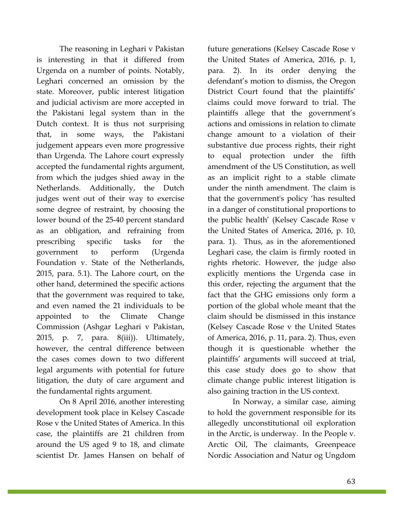The reasoning in Leghari v Pakistan is interesting in that it differed from Urgenda on a number of points. Notably, Leghari concerned an omission by the state. Moreover, public interest litigation and judicial activism are more accepted in the Pakistani legal system than in the Dutch context. It is thus not surprising that, in some ways, the Pakistani judgement appears even more progressive than Urgenda. The Lahore court expressly accepted the fundamental rights argument, from which the judges shied away in the Netherlands. Additionally, the Dutch judges went out of their way to exercise some degree of restraint, by choosing the lower bound of the 25-40 percent standard as an obligation, and refraining from prescribing specific tasks for the government to perform (Urgenda Foundation v. State of the Netherlands, 2015, para. 5.1). The Lahore court, on the other hand, determined the specific actions that the government was required to take, and even named the 21 individuals to be appointed to the Climate Change Commission (Ashgar Leghari v Pakistan, 2015, p. 7, para. 8(iii)). Ultimately, however, the central difference between the cases comes down to two different legal arguments with potential for future litigation, the duty of care argument and the fundamental rights argument.

On 8 April 2016, another interesting development took place in Kelsey Cascade Rose v the United States of America. In this case, the plaintiffs are 21 children from around the US aged 9 to 18, and climate scientist Dr. James Hansen on behalf of future generations (Kelsey Cascade Rose v the United States of America, 2016, p. 1, para. 2). In its order denying the defendant's motion to dismiss, the Oregon District Court found that the plaintiffs' claims could move forward to trial. The plaintiffs allege that the government's actions and omissions in relation to climate change amount to a violation of their substantive due process rights, their right to equal protection under the fifth amendment of the US Constitution, as well as an implicit right to a stable climate under the ninth amendment. The claim is that the government's policy 'has resulted in a danger of constitutional proportions to the public health' (Kelsey Cascade Rose v the United States of America, 2016, p. 10, para. 1). Thus, as in the aforementioned Leghari case, the claim is firmly rooted in rights rhetoric. However, the judge also explicitly mentions the Urgenda case in this order, rejecting the argument that the fact that the GHG emissions only form a portion of the global whole meant that the claim should be dismissed in this instance (Kelsey Cascade Rose v the United States of America, 2016, p. 11, para. 2). Thus, even though it is questionable whether the plaintiffs' arguments will succeed at trial, this case study does go to show that climate change public interest litigation is also gaining traction in the US context.

In Norway, a similar case, aiming to hold the government responsible for its allegedly unconstitutional oil exploration in the Arctic, is underway. In the People v. Arctic Oil, The claimants, Greenpeace Nordic Association and Natur og Ungdom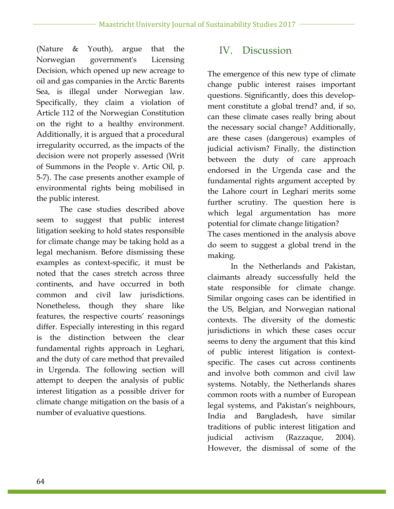(Nature & Youth), argue that the Norwegian government's Licensing Decision, which opened up new acreage to oil and gas companies in the Arctic Barents Sea, is illegal under Norwegian law. Specifically, they claim a violation of Article 112 of the Norwegian Constitution on the right to a healthy environment. Additionally, it is argued that a procedural irregularity occurred, as the impacts of the decision were not properly assessed (Writ of Summons in the People v. Artic Oil, p. 5-7). The case presents another example of environmental rights being mobilised in the public interest.

The case studies described above seem to suggest that public interest litigation seeking to hold states responsible for climate change may be taking hold as a legal mechanism. Before dismissing these examples as context-specific, it must be noted that the cases stretch across three continents, and have occurred in both common and civil law jurisdictions. Nonetheless, though they share like features, the respective courts' reasonings differ. Especially interesting in this regard is the distinction between the clear fundamental rights approach in Leghari, and the duty of care method that prevailed in Urgenda. The following section will attempt to deepen the analysis of public interest litigation as a possible driver for climate change mitigation on the basis of a number of evaluative questions.

### IV. Discussion

The emergence of this new type of climate change public interest raises important questions. Significantly, does this development constitute a global trend? and, if so, can these climate cases really bring about the necessary social change? Additionally, are these cases (dangerous) examples of judicial activism? Finally, the distinction between the duty of care approach endorsed in the Urgenda case and the fundamental rights argument accepted by the Lahore court in Leghari merits some further scrutiny. The question here is which legal argumentation has more potential for climate change litigation? The cases mentioned in the analysis above do seem to suggest a global trend in the making.

In the Netherlands and Pakistan, claimants already successfully held the state responsible for climate change. Similar ongoing cases can be identified in the US, Belgian, and Norwegian national contexts. The diversity of the domestic jurisdictions in which these cases occur seems to deny the argument that this kind of public interest litigation is contextspecific. The cases cut across continents and involve both common and civil law systems. Notably, the Netherlands shares common roots with a number of European legal systems, and Pakistan's neighbours, India and Bangladesh, have similar traditions of public interest litigation and judicial activism (Razzaque, 2004). However, the dismissal of some of the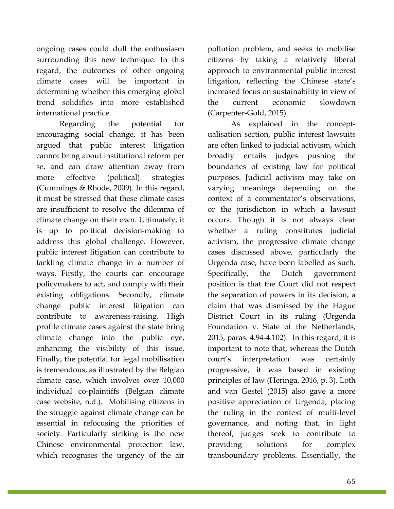ongoing cases could dull the enthusiasm surrounding this new technique. In this regard, the outcomes of other ongoing climate cases will be important in determining whether this emerging global trend solidifies into more established international practice.

Regarding the potential for encouraging social change, it has been argued that public interest litigation cannot bring about institutional reform per se, and can draw attention away from more effective (political) strategies (Cummings & Rhode, 2009). In this regard, it must be stressed that these climate cases are insufficient to resolve the dilemma of climate change on their own. Ultimately, it is up to political decision-making to address this global challenge. However, public interest litigation can contribute to tackling climate change in a number of ways. Firstly, the courts can encourage policymakers to act, and comply with their existing obligations. Secondly, climate change public interest litigation can contribute to awareness-raising. High profile climate cases against the state bring climate change into the public eye, enhancing the visibility of this issue. Finally, the potential for legal mobilisation is tremendous, as illustrated by the Belgian climate case, which involves over 10,000 individual co-plaintiffs (Belgian climate case website, n.d.). Mobilising citizens in the struggle against climate change can be essential in refocusing the priorities of society. Particularly striking is the new Chinese environmental protection law, which recognises the urgency of the air

pollution problem, and seeks to mobilise citizens by taking a relatively liberal approach to environmental public interest litigation, reflecting the Chinese state's increased focus on sustainability in view of the current economic slowdown (Carpenter-Gold, 2015).

As explained in the conceptualisation section, public interest lawsuits are often linked to judicial activism, which broadly entails judges pushing the boundaries of existing law for political purposes. Judicial activism may take on varying meanings depending on the context of a commentator's observations, or the jurisdiction in which a lawsuit occurs. Though it is not always clear whether a ruling constitutes judicial activism, the progressive climate change cases discussed above, particularly the Urgenda case, have been labelled as such. Specifically, the Dutch government position is that the Court did not respect the separation of powers in its decision, a claim that was dismissed by the Hague District Court in its ruling (Urgenda Foundation v. State of the Netherlands, 2015, paras. 4.94-4.102). In this regard, it is important to note that, whereas the Dutch court's interpretation was certainly progressive, it was based in existing principles of law (Heringa, 2016, p. 3). Loth and van Gestel (2015) also gave a more positive appreciation of Urgenda, placing the ruling in the context of multi-level governance, and noting that, in light thereof, judges seek to contribute to providing solutions for complex transboundary problems. Essentially, the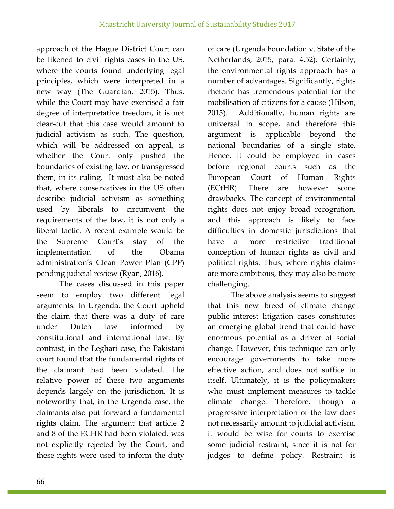approach of the Hague District Court can be likened to civil rights cases in the US, where the courts found underlying legal principles, which were interpreted in a new way (The Guardian, 2015). Thus, while the Court may have exercised a fair degree of interpretative freedom, it is not clear-cut that this case would amount to judicial activism as such. The question, which will be addressed on appeal, is whether the Court only pushed the boundaries of existing law, or transgressed them, in its ruling. It must also be noted that, where conservatives in the US often describe judicial activism as something used by liberals to circumvent the requirements of the law, it is not only a liberal tactic. A recent example would be the Supreme Court's stay of the implementation of the Obama administration's Clean Power Plan (CPP) pending judicial review (Ryan, 2016).

The cases discussed in this paper seem to employ two different legal arguments. In Urgenda, the Court upheld the claim that there was a duty of care under Dutch law informed by constitutional and international law. By contrast, in the Leghari case, the Pakistani court found that the fundamental rights of the claimant had been violated. The relative power of these two arguments depends largely on the jurisdiction. It is noteworthy that, in the Urgenda case, the claimants also put forward a fundamental rights claim. The argument that article 2 and 8 of the ECHR had been violated, was not explicitly rejected by the Court, and these rights were used to inform the duty of care (Urgenda Foundation v. State of the Netherlands, 2015, para. 4.52). Certainly, the environmental rights approach has a number of advantages. Significantly, rights rhetoric has tremendous potential for the mobilisation of citizens for a cause (Hilson, 2015). Additionally, human rights are universal in scope, and therefore this argument is applicable beyond the national boundaries of a single state. Hence, it could be employed in cases before regional courts such as the European Court of Human Rights (ECtHR). There are however some drawbacks. The concept of environmental rights does not enjoy broad recognition, and this approach is likely to face difficulties in domestic jurisdictions that have a more restrictive traditional conception of human rights as civil and political rights. Thus, where rights claims are more ambitious, they may also be more challenging.

The above analysis seems to suggest that this new breed of climate change public interest litigation cases constitutes an emerging global trend that could have enormous potential as a driver of social change. However, this technique can only encourage governments to take more effective action, and does not suffice in itself. Ultimately, it is the policymakers who must implement measures to tackle climate change. Therefore, though a progressive interpretation of the law does not necessarily amount to judicial activism, it would be wise for courts to exercise some judicial restraint, since it is not for judges to define policy. Restraint is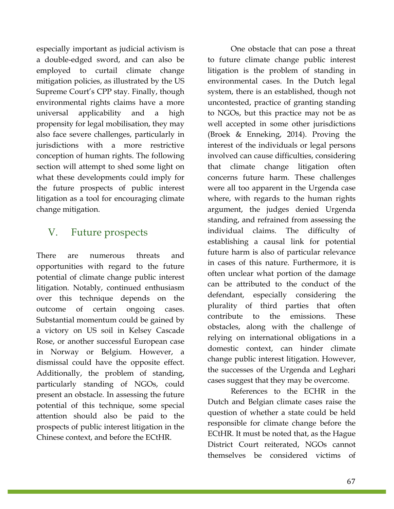especially important as judicial activism is a double-edged sword, and can also be employed to curtail climate change mitigation policies, as illustrated by the US Supreme Court's CPP stay. Finally, though environmental rights claims have a more universal applicability and a high propensity for legal mobilisation, they may also face severe challenges, particularly in jurisdictions with a more restrictive conception of human rights. The following section will attempt to shed some light on what these developments could imply for the future prospects of public interest litigation as a tool for encouraging climate change mitigation.

### V. Future prospects

There are numerous threats and opportunities with regard to the future potential of climate change public interest litigation. Notably, continued enthusiasm over this technique depends on the outcome of certain ongoing cases. Substantial momentum could be gained by a victory on US soil in Kelsey Cascade Rose, or another successful European case in Norway or Belgium. However, a dismissal could have the opposite effect. Additionally, the problem of standing, particularly standing of NGOs, could present an obstacle. In assessing the future potential of this technique, some special attention should also be paid to the prospects of public interest litigation in the Chinese context, and before the ECtHR.

One obstacle that can pose a threat to future climate change public interest litigation is the problem of standing in environmental cases. In the Dutch legal system, there is an established, though not uncontested, practice of granting standing to NGOs, but this practice may not be as well accepted in some other jurisdictions (Broek & Enneking, 2014). Proving the interest of the individuals or legal persons involved can cause difficulties, considering that climate change litigation often concerns future harm. These challenges were all too apparent in the Urgenda case where, with regards to the human rights argument, the judges denied Urgenda standing, and refrained from assessing the individual claims. The difficulty of establishing a causal link for potential future harm is also of particular relevance in cases of this nature. Furthermore, it is often unclear what portion of the damage can be attributed to the conduct of the defendant, especially considering the plurality of third parties that often contribute to the emissions. These obstacles, along with the challenge of relying on international obligations in a domestic context, can hinder climate change public interest litigation. However, the successes of the Urgenda and Leghari cases suggest that they may be overcome.

References to the ECHR in the Dutch and Belgian climate cases raise the question of whether a state could be held responsible for climate change before the ECtHR. It must be noted that, as the Hague District Court reiterated, NGOs cannot themselves be considered victims of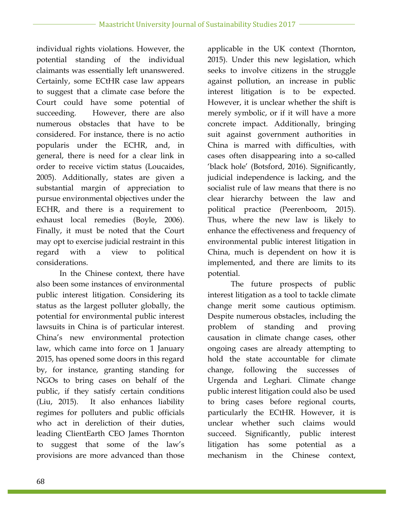individual rights violations. However, the potential standing of the individual claimants was essentially left unanswered. Certainly, some ECtHR case law appears to suggest that a climate case before the Court could have some potential of succeeding. However, there are also numerous obstacles that have to be considered. For instance, there is no actio popularis under the ECHR, and, in general, there is need for a clear link in order to receive victim status (Loucaides, 2005). Additionally, states are given a substantial margin of appreciation to pursue environmental objectives under the ECHR, and there is a requirement to exhaust local remedies (Boyle, 2006). Finally, it must be noted that the Court may opt to exercise judicial restraint in this regard with a view to political considerations.

In the Chinese context, there have also been some instances of environmental public interest litigation. Considering its status as the largest polluter globally, the potential for environmental public interest lawsuits in China is of particular interest. China's new environmental protection law, which came into force on 1 January 2015, has opened some doors in this regard by, for instance, granting standing for NGOs to bring cases on behalf of the public, if they satisfy certain conditions (Liu, 2015). It also enhances liability regimes for polluters and public officials who act in dereliction of their duties, leading ClientEarth CEO James Thornton to suggest that some of the law's provisions are more advanced than those

applicable in the UK context (Thornton, 2015). Under this new legislation, which seeks to involve citizens in the struggle against pollution, an increase in public interest litigation is to be expected. However, it is unclear whether the shift is merely symbolic, or if it will have a more concrete impact. Additionally, bringing suit against government authorities in China is marred with difficulties, with cases often disappearing into a so-called 'black hole' (Botsford, 2016). Significantly, judicial independence is lacking, and the socialist rule of law means that there is no clear hierarchy between the law and political practice (Peerenboom, 2015). Thus, where the new law is likely to enhance the effectiveness and frequency of environmental public interest litigation in China, much is dependent on how it is implemented, and there are limits to its potential.

The future prospects of public interest litigation as a tool to tackle climate change merit some cautious optimism. Despite numerous obstacles, including the problem of standing and proving causation in climate change cases, other ongoing cases are already attempting to hold the state accountable for climate change, following the successes of Urgenda and Leghari. Climate change public interest litigation could also be used to bring cases before regional courts, particularly the ECtHR. However, it is unclear whether such claims would succeed. Significantly, public interest litigation has some potential as a mechanism in the Chinese context,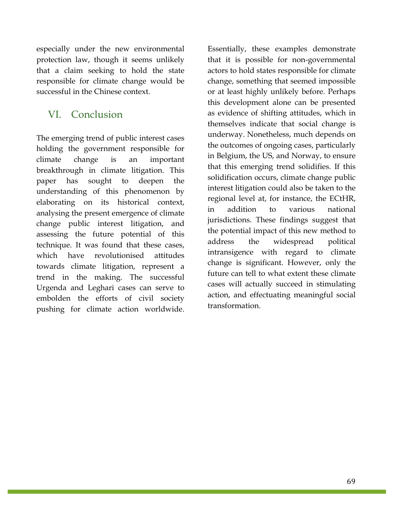especially under the new environmental protection law, though it seems unlikely that a claim seeking to hold the state responsible for climate change would be successful in the Chinese context.

### VI. Conclusion

The emerging trend of public interest cases holding the government responsible for climate change is an important breakthrough in climate litigation. This paper has sought to deepen the understanding of this phenomenon by elaborating on its historical context, analysing the present emergence of climate change public interest litigation, and assessing the future potential of this technique. It was found that these cases, which have revolutionised attitudes towards climate litigation, represent a trend in the making. The successful Urgenda and Leghari cases can serve to embolden the efforts of civil society pushing for climate action worldwide.

Essentially, these examples demonstrate that it is possible for non-governmental actors to hold states responsible for climate change, something that seemed impossible or at least highly unlikely before. Perhaps this development alone can be presented as evidence of shifting attitudes, which in themselves indicate that social change is underway. Nonetheless, much depends on the outcomes of ongoing cases, particularly in Belgium, the US, and Norway, to ensure that this emerging trend solidifies. If this solidification occurs, climate change public interest litigation could also be taken to the regional level at, for instance, the ECtHR, in addition to various national jurisdictions. These findings suggest that the potential impact of this new method to address the widespread political intransigence with regard to climate change is significant. However, only the future can tell to what extent these climate cases will actually succeed in stimulating action, and effectuating meaningful social transformation.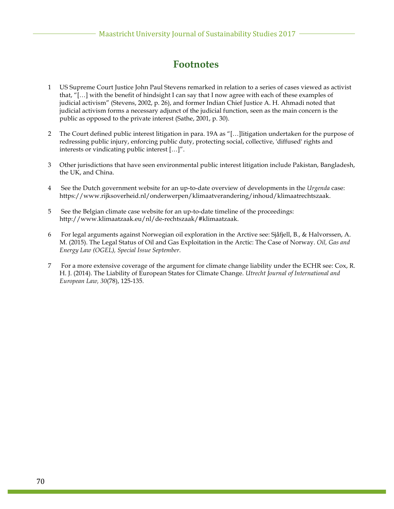### **Footnotes**

- 1 US Supreme Court Justice John Paul Stevens remarked in relation to a series of cases viewed as activist that, "[…] with the benefit of hindsight I can say that I now agree with each of these examples of judicial activism" (Stevens, 2002, p. 26), and former Indian Chief Justice A. H. Ahmadi noted that judicial activism forms a necessary adjunct of the judicial function, seen as the main concern is the public as opposed to the private interest (Sathe, 2001, p. 30).
- 2 The Court defined public interest litigation in para. 19A as "[…]litigation undertaken for the purpose of redressing public injury, enforcing public duty, protecting social, collective, 'diffused' rights and interests or vindicating public interest […]".
- 3 Other jurisdictions that have seen environmental public interest litigation include Pakistan, Bangladesh, the UK, and China.
- 4 See the Dutch government website for an up-to-date overview of developments in the *Urgenda* case: https://www.rijksoverheid.nl/onderwerpen/klimaatverandering/inhoud/klimaatrechtszaak.
- 5 See the Belgian climate case website for an up-to-date timeline of the proceedings: http://www.klimaatzaak.eu/nl/de-rechtszaak/#klimaatzaak.
- 6 For legal arguments against Norwegian oil exploration in the Arctive see: Sjåfjell, B., & Halvorssen, A. M. (2015). The Legal Status of Oil and Gas Exploitation in the Arctic: The Case of Norway. *Oil, Gas and Energy Law (OGEL), Special Issue September*.
- 7 For a more extensive coverage of the argument for climate change liability under the ECHR see: Cox, R. H. J. (2014). The Liability of European States for Climate Change. *Utrecht Journal of International and European Law, 30*(78), 125-135.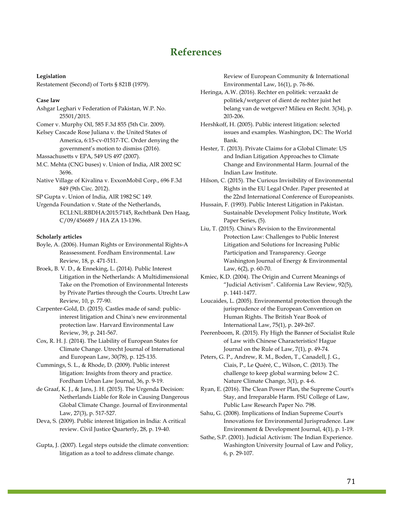### **References**

#### **Legislation**

Restatement (Second) of Torts § 821B (1979).

#### **Case law**

Ashgar Leghari v Federation of Pakistan, W.P. No. 25501/2015.

Comer v. Murphy Oil, 585 F.3d 855 (5th Cir. 2009).

Kelsey Cascade Rose Juliana v. the United States of America, 6:15-cv-01517-TC. Order denying the government's motion to dismiss (2016).

Massachusetts v EPA, 549 US 497 (2007).

- M.C. Mehta (CNG buses) v. Union of India, AIR 2002 SC 3696.
- Native Village of Kivalina v. ExxonMobil Corp., 696 F.3d 849 (9th Circ. 2012).

SP Gupta v. Union of India, AIR 1982 SC 149.

Urgenda Foundation v. State of the Netherlands, ECLI:NL:RBDHA:2015:7145, Rechtbank Den Haag, C/09/456689 / HA ZA 13-1396.

#### **Scholarly articles**

- Boyle, A. (2006). Human Rights or Environmental Rights-A Reassessment. Fordham Environmental. Law Review, 18, p. 471-511.
- Broek, B. V. D., & Enneking, L. (2014). Public Interest Litigation in the Netherlands: A Multidimensional Take on the Promotion of Environmental Interests by Private Parties through the Courts. Utrecht Law Review, 10, p. 77-90.
- Carpenter-Gold, D. (2015). Castles made of sand: publicinterest litigation and China's new environmental protection law. Harvard Environmental Law Review, 39, p. 241-567.
- Cox, R. H. J. (2014). The Liability of European States for Climate Change. Utrecht Journal of International and European Law, 30(78), p. 125-135.
- Cummings, S. L., & Rhode, D. (2009). Public interest litigation: Insights from theory and practice. Fordham Urban Law Journal, 36, p. 9-19.
- de Graaf, K. J., & Jans, J. H. (2015). The Urgenda Decision: Netherlands Liable for Role in Causing Dangerous Global Climate Change. Journal of Environmental Law, 27(3), p. 517-527.
- Deva, S. (2009). Public interest litigation in India: A critical review. Civil Justice Quarterly, 28, p. 19-40.
- Gupta, J. (2007). Legal steps outside the climate convention: litigation as a tool to address climate change.

Review of European Community & International Environmental Law, 16(1), p. 76-86.

- Heringa, A.W. (2016). Rechter en politiek: verzaakt de politiek/wetgever of dient de rechter juist het belang van de wetgever? Milieu en Recht. 3(34), p. 203-206.
- Hershkoff, H. (2005). Public interest litigation: selected issues and examples. Washington, DC: The World Bank.
- Hester, T. (2013). Private Claims for a Global Climate: US and Indian Litigation Approaches to Climate Change and Environmental Harm. Journal of the Indian Law Institute.
- Hilson, C. (2015). The Curious Invisibility of Environmental Rights in the EU Legal Order. Paper presented at the 22nd International Conference of Europeanists.
- Hussain, F. (1993). Public Interest Litigation in Pakistan. Sustainable Development Policy Institute, Work Paper Series, (5).
- Liu, T. (2015). China's Revision to the Environmental Protection Law: Challenges to Public Interest Litigation and Solutions for Increasing Public Participation and Transparency. George Washington Journal of Energy & Environmental Law, 6(2), p. 60-70.
- Kmiec, K.D. (2004). The Origin and Current Meanings of "Judicial Activism". California Law Review, 92(5), p. 1441-1477.
- Loucaides, L. (2005). Environmental protection through the jurisprudence of the European Convention on Human Rights. The British Year Book of International Law, 75(1), p. 249-267.
- Peerenboom, R. (2015). Fly High the Banner of Socialist Rule of Law with Chinese Characteristics! Hague Journal on the Rule of Law, 7(1), p. 49-74.
- Peters, G. P., Andrew, R. M., Boden, T., Canadell, J. G., Ciais, P., Le Quéré, C., Wilson, C. (2013). The challenge to keep global warming below 2 C. Nature Climate Change, 3(1), p. 4-6.
- Ryan, E. (2016). The Clean Power Plan, the Supreme Court's Stay, and Irreparable Harm. FSU College of Law, Public Law Research Paper No. 798.
- Sahu, G. (2008). Implications of Indian Supreme Court's Innovations for Environmental Jurisprudence. Law Environment & Development Journal, 4(1), p. 1-19.
- Sathe, S.P. (2001). Judicial Activism: The Indian Experience. Washington University Journal of Law and Policy, 6, p. 29-107.